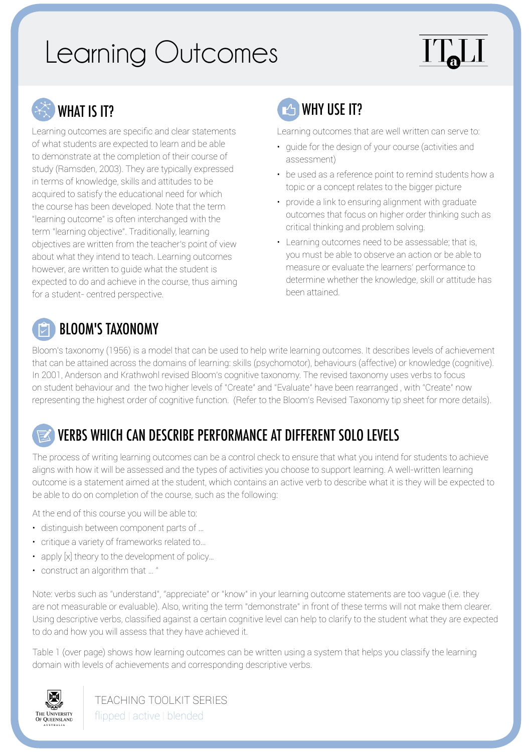# Learning Outcomes

# $\prod_{\alpha}$



Learning outcomes are specific and clear statements of what students are expected to learn and be able to demonstrate at the completion of their course of study (Ramsden, 2003). They are typically expressed in terms of knowledge, skills and attitudes to be acquired to satisfy the educational need for which the course has been developed. Note that the term "learning outcome" is often interchanged with the term "learning objective". Traditionally, learning objectives are written from the teacher's point of view about what they intend to teach. Learning outcomes however, are written to guide what the student is expected to do and achieve in the course, thus aiming for a student- centred perspective.

# **CAN WHY USE IT?**

Learning outcomes that are well written can serve to:

- guide for the design of your course (activities and assessment)
- be used as a reference point to remind students how a topic or a concept relates to the bigger picture
- provide a link to ensuring alignment with graduate outcomes that focus on higher order thinking such as critical thinking and problem solving.
- Learning outcomes need to be assessable; that is, you must be able to observe an action or be able to measure or evaluate the learners' performance to determine whether the knowledge, skill or attitude has been attained.

# BLOOM'S TAXONOMY

Bloom's taxonomy (1956) is a model that can be used to help write learning outcomes. It describes levels of achievement that can be attained across the domains of learning: skills (psychomotor), behaviours (affective) or knowledge (cognitive). In 2001, Anderson and Krathwohl revised Bloom's cognitive taxonomy. The revised taxonomy uses verbs to focus on student behaviour and the two higher levels of "Create" and "Evaluate" have been rearranged , with "Create" now representing the highest order of cognitive function. (Refer to the Bloom's Revised Taxonomy tip sheet for more details).

#### VERBS WHICH CAN DESCRIBE PERFORMANCE AT DIFFERENT SOLO LEVELS

The process of writing learning outcomes can be a control check to ensure that what you intend for students to achieve aligns with how it will be assessed and the types of activities you choose to support learning. A well-written learning outcome is a statement aimed at the student, which contains an active verb to describe what it is they will be expected to be able to do on completion of the course, such as the following:

At the end of this course you will be able to:

- distinguish between component parts of …
- critique a variety of frameworks related to…
- apply [x] theory to the development of policy...
- construct an algorithm that … "

Note: verbs such as "understand", "appreciate" or "know" in your learning outcome statements are too vague (i.e. they are not measurable or evaluable). Also, writing the term "demonstrate" in front of these terms will not make them clearer. Using descriptive verbs, classified against a certain cognitive level can help to clarify to the student what they are expected to do and how you will assess that they have achieved it.

Table 1 (over page) shows how learning outcomes can be written using a system that helps you classify the learning domain with levels of achievements and corresponding descriptive verbs.



TEACHING TOOLKIT SERIES flipped | active | blended